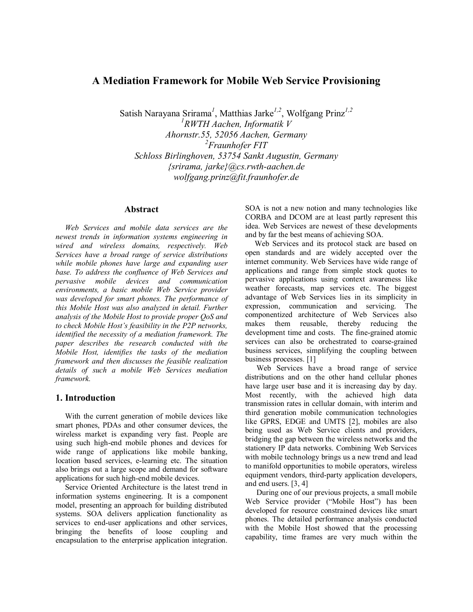# **A Mediation Framework for Mobile Web Service Provisioning**

Satish Narayana Srirama<sup>1</sup>, Matthias Jarke<sup>1,2</sup>, Wolfgang Prinz<sup>1,2</sup> P *1* P *RWTH Aachen, Informatik V Ahornstr.55, 52056 Aachen, Germany*  P *2* P *Fraunhofer FIT Schloss Birlinghoven, 53754 Sankt Augustin, Germany {srirama, jarke}@cs.rwth-aachen.de wolfgang.prinz@fit.fraunhofer.de* 

#### **Abstract**

*Web Services and mobile data services are the newest trends in information systems engineering in wired and wireless domains, respectively. Web Services have a broad range of service distributions while mobile phones have large and expanding user base. To address the confluence of Web Services and pervasive mobile devices and communication environments, a basic mobile Web Service provider was developed for smart phones. The performance of this Mobile Host was also analyzed in detail. Further analysis of the Mobile Host to provide proper QoS and to check Mobile Host's feasibility in the P2P networks, identified the necessity of a mediation framework. The paper describes the research conducted with the Mobile Host, identifies the tasks of the mediation framework and then discusses the feasible realization details of such a mobile Web Services mediation framework.* 

### **1. Introduction**

With the current generation of mobile devices like smart phones, PDAs and other consumer devices, the wireless market is expanding very fast. People are using such high-end mobile phones and devices for wide range of applications like mobile banking, location based services, e-learning etc. The situation also brings out a large scope and demand for software applications for such high-end mobile devices.

Service Oriented Architecture is the latest trend in information systems engineering. It is a component model, presenting an approach for building distributed systems. SOA delivers application functionality as services to end-user applications and other services, bringing the benefits of loose coupling and encapsulation to the enterprise application integration. SOA is not a new notion and many technologies like CORBA and DCOM are at least partly represent this idea. Web Services are newest of these developments and by far the best means of achieving SOA.

Web Services and its protocol stack are based on open standards and are widely accepted over the internet community. Web Services have wide range of applications and range from simple stock quotes to pervasive applications using context awareness like weather forecasts, map services etc. The biggest advantage of Web Services lies in its simplicity in expression, communication and servicing. The componentized architecture of Web Services also makes them reusable, thereby reducing the development time and costs. The fine-grained atomic services can also be orchestrated to coarse-grained business services, simplifying the coupling between business processes. [1]

 Web Services have a broad range of service distributions and on the other hand cellular phones have large user base and it is increasing day by day. Most recently, with the achieved high data transmission rates in cellular domain, with interim and third generation mobile communication technologies like GPRS, EDGE and UMTS [2], mobiles are also being used as Web Service clients and providers, bridging the gap between the wireless networks and the stationery IP data networks. Combining Web Services with mobile technology brings us a new trend and lead to manifold opportunities to mobile operators, wireless equipment vendors, third-party application developers, and end users. [3, 4]

 During one of our previous projects, a small mobile Web Service provider ("Mobile Host") has been developed for resource constrained devices like smart phones. The detailed performance analysis conducted with the Mobile Host showed that the processing capability, time frames are very much within the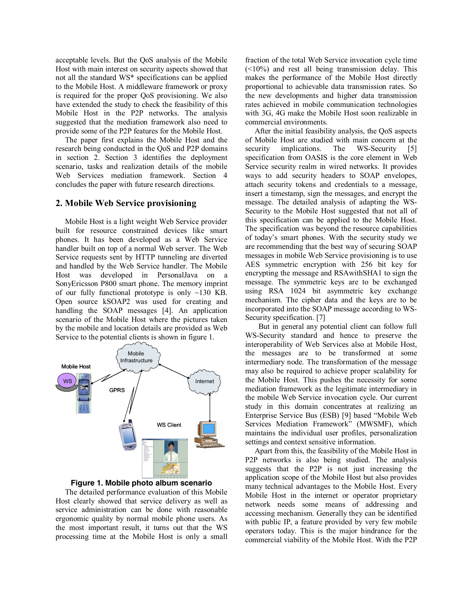acceptable levels. But the QoS analysis of the Mobile Host with main interest on security aspects showed that not all the standard WS\* specifications can be applied to the Mobile Host. A middleware framework or proxy is required for the proper QoS provisioning. We also have extended the study to check the feasibility of this Mobile Host in the P2P networks. The analysis suggested that the mediation framework also need to provide some of the P2P features for the Mobile Host.

The paper first explains the Mobile Host and the research being conducted in the QoS and P2P domains in section 2. Section 3 identifies the deployment scenario, tasks and realization details of the mobile Web Services mediation framework. Section 4 concludes the paper with future research directions.

#### **2. Mobile Web Service provisioning**

Mobile Host is a light weight Web Service provider built for resource constrained devices like smart phones. It has been developed as a Web Service handler built on top of a normal Web server. The Web Service requests sent by HTTP tunneling are diverted and handled by the Web Service handler. The Mobile Host was developed in PersonalJava on a SonyEricsson P800 smart phone. The memory imprint of our fully functional prototype is only ~130 KB. Open source kSOAP2 was used for creating and handling the SOAP messages [4]. An application scenario of the Mobile Host where the pictures taken by the mobile and location details are provided as Web Service to the potential clients is shown in figure 1.





The detailed performance evaluation of this Mobile Host clearly showed that service delivery as well as service administration can be done with reasonable ergonomic quality by normal mobile phone users. As the most important result, it turns out that the WS processing time at the Mobile Host is only a small

fraction of the total Web Service invocation cycle time  $(\leq 10\%)$  and rest all being transmission delay. This makes the performance of the Mobile Host directly proportional to achievable data transmission rates. So the new developments and higher data transmission rates achieved in mobile communication technologies with 3G, 4G make the Mobile Host soon realizable in commercial environments.

After the initial feasibility analysis, the QoS aspects of Mobile Host are studied with main concern at the security implications. The WS-Security [5] specification from OASIS is the core element in Web Service security realm in wired networks. It provides ways to add security headers to SOAP envelopes, attach security tokens and credentials to a message, insert a timestamp, sign the messages, and encrypt the message. The detailed analysis of adapting the WS-Security to the Mobile Host suggested that not all of this specification can be applied to the Mobile Host. The specification was beyond the resource capabilities of today's smart phones. With the security study we are recommending that the best way of securing SOAP messages in mobile Web Service provisioning is to use AES symmetric encryption with 256 bit key for encrypting the message and RSAwithSHA1 to sign the message. The symmetric keys are to be exchanged using RSA 1024 bit asymmetric key exchange mechanism. The cipher data and the keys are to be incorporated into the SOAP message according to WS-Security specification. [7]

 But in general any potential client can follow full WS-Security standard and hence to preserve the interoperability of Web Services also at Mobile Host, the messages are to be transformed at some intermediary node. The transformation of the message may also be required to achieve proper scalability for the Mobile Host. This pushes the necessity for some mediation framework as the legitimate intermediary in the mobile Web Service invocation cycle. Our current study in this domain concentrates at realizing an Enterprise Service Bus (ESB) [9] based "Mobile Web Services Mediation Framework" (MWSMF), which maintains the individual user profiles, personalization settings and context sensitive information.

Apart from this, the feasibility of the Mobile Host in P2P networks is also being studied. The analysis suggests that the P2P is not just increasing the application scope of the Mobile Host but also provides many technical advantages to the Mobile Host. Every Mobile Host in the internet or operator proprietary network needs some means of addressing and accessing mechanism. Generally they can be identified with public IP, a feature provided by very few mobile operators today. This is the major hindrance for the commercial viability of the Mobile Host. With the P2P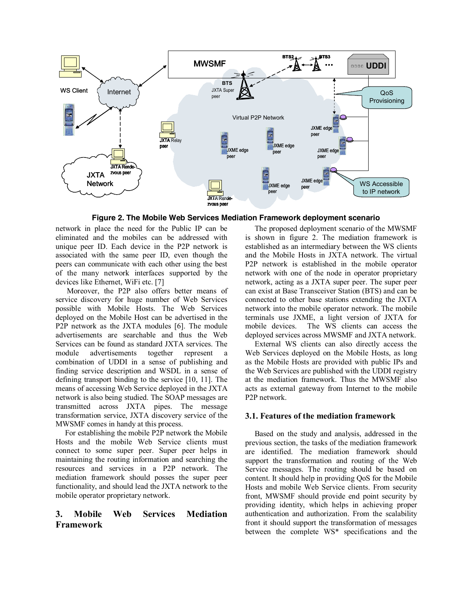

**Figure 2. The Mobile Web Services Mediation Framework deployment scenario**

network in place the need for the Public IP can be eliminated and the mobiles can be addressed with unique peer ID. Each device in the P2P network is associated with the same peer ID, even though the peers can communicate with each other using the best of the many network interfaces supported by the devices like Ethernet, WiFi etc. [7]

 Moreover, the P2P also offers better means of service discovery for huge number of Web Services possible with Mobile Hosts. The Web Services deployed on the Mobile Host can be advertised in the P2P network as the JXTA modules [6]. The module advertisements are searchable and thus the Web Services can be found as standard JXTA services. The module advertisements together represent a combination of UDDI in a sense of publishing and finding service description and WSDL in a sense of defining transport binding to the service [10, 11]. The means of accessing Web Service deployed in the JXTA network is also being studied. The SOAP messages are transmitted across JXTA pipes. The message transformation service, JXTA discovery service of the MWSMF comes in handy at this process.

For establishing the mobile P2P network the Mobile Hosts and the mobile Web Service clients must connect to some super peer. Super peer helps in maintaining the routing information and searching the resources and services in a P2P network. The mediation framework should posses the super peer functionality, and should lead the JXTA network to the mobile operator proprietary network.

# **3. Mobile Web Services Mediation Framework**

The proposed deployment scenario of the MWSMF is shown in figure 2. The mediation framework is established as an intermediary between the WS clients and the Mobile Hosts in JXTA network. The virtual P2P network is established in the mobile operator network with one of the node in operator proprietary network, acting as a JXTA super peer. The super peer can exist at Base Transceiver Station (BTS) and can be connected to other base stations extending the JXTA network into the mobile operator network. The mobile terminals use JXME, a light version of JXTA for mobile devices. The WS clients can access the deployed services across MWSMF and JXTA network.

External WS clients can also directly access the Web Services deployed on the Mobile Hosts, as long as the Mobile Hosts are provided with public IPs and the Web Services are published with the UDDI registry at the mediation framework. Thus the MWSMF also acts as external gateway from Internet to the mobile P2P network.

### **3.1. Features of the mediation framework**

Based on the study and analysis, addressed in the previous section, the tasks of the mediation framework are identified. The mediation framework should support the transformation and routing of the Web Service messages. The routing should be based on content. It should help in providing QoS for the Mobile Hosts and mobile Web Service clients. From security front, MWSMF should provide end point security by providing identity, which helps in achieving proper authentication and authorization. From the scalability front it should support the transformation of messages between the complete WS\* specifications and the